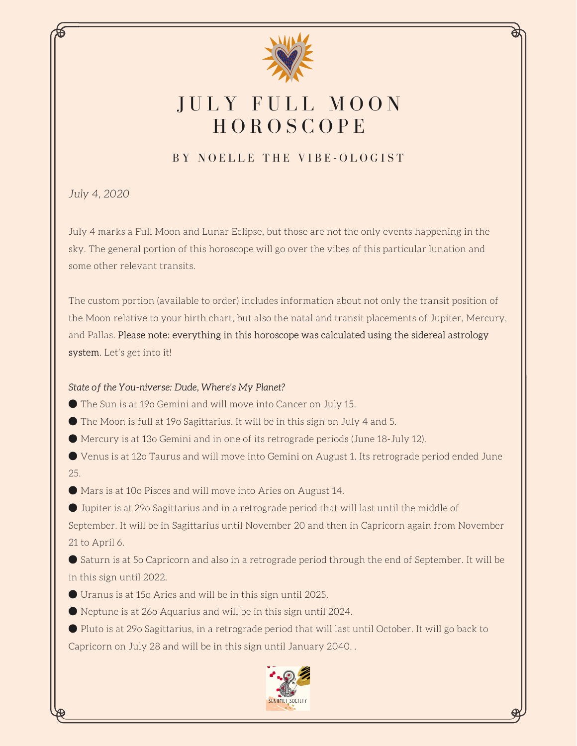

# JULY FULL MOON **HOROSCOPE**

# BY NOELLE THE VIBE-OLOGIST

*July 4, 2020*

July 4 marks a Full Moon and Lunar Eclipse, but those are not the only events happening in the sky. The general portion of this horoscope will go over the vibes of this particular lunation and some other relevant transits.

The custom portion (available to order) includes information about not only the transit position of the Moon relative to your birth chart, but also the natal and transit placements of Jupiter, Mercury, and Pallas. Please note: everything in this horoscope was calculated using the sidereal astrology system. Let's get into it!

## State of the You-niverse: Dude, Where's My Planet?

● The Sun is at 19o Gemini and will move into Cancer on July 15.

● The Moon is full at 19o Sagittarius. It will be in this sign on July 4 and 5.

● Mercury is at 13o Gemini and in one of its retrograde periods (June 18-July 12).

● Venus is at 12o Taurus and will move into Gemini on August 1. Its retrograde period ended June 25.

● Mars is at 10o Pisces and will move into Aries on August 14.

● Jupiter is at 29o Sagittarius and in a retrograde period that will last until the middle of September. It will be in Sagittarius until November 20 and then in Capricorn again from November 21 to April 6.

● Saturn is at 5o Capricorn and also in a retrograde period through the end of September. It will be in this sign until 2022.

● Uranus is at 15o Aries and will be in this sign until 2025.

● Neptune is at 26o Aquarius and will be in this sign until 2024.

● Pluto is at 29o Sagittarius, in a retrograde period that will last until October. It will go back to Capricorn on July 28 and will be in this sign until January 2040. .

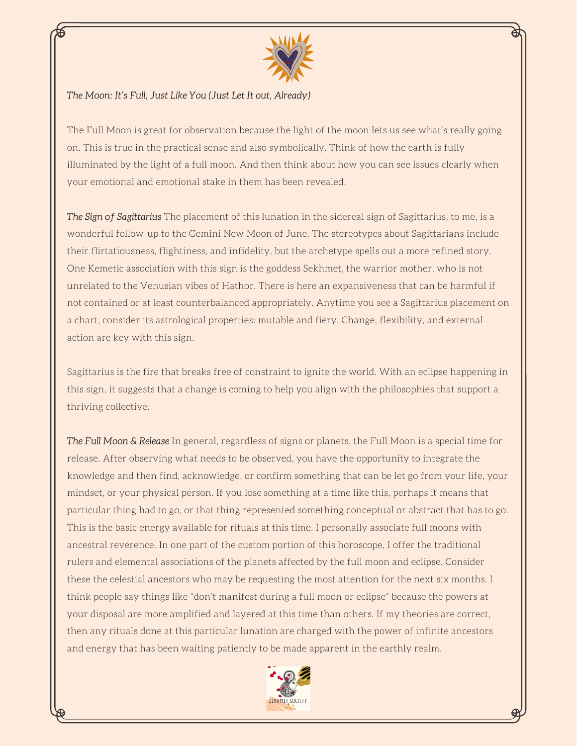

#### The Moon: It's Full, Just Like You (Just Let It out, Already)

The Full Moon is great for observation because the light of the moon lets us see what's really going on. This is true in the practical sense and also symbolically. Think of how the earth is fully illuminated by the light of a full moon. And then think about how you can see issues clearly when your emotional and emotional stake in them has been revealed.

The Sign of Sagittarius The placement of this lunation in the sidereal sign of Sagittarius, to me, is a wonderful follow-up to the Gemini New Moon of June. The stereotypes about Sagittarians include their flirtatiousness, flightiness, and infidelity, but the archetype spells out a more refined story. One Kemetic association with this sign is the goddess Sekhmet, the warrior mother, who is not unrelated to the Venusian vibes of Hathor. There is here an expansiveness that can be harmful if not contained or at least counterbalanced appropriately. Anytime you see a Sagittarius placement on a chart, consider its astrological properties: mutable and fiery. Change, flexibility, and external action are key with this sign.

Sagittarius is the fire that breaks free of constraint to ignite the world. With an eclipse happening in this sign, it suggests that a change is coming to help you align with the philosophies that support a thriving collective.

The Full Moon & Release In general, regardless of signs or planets, the Full Moon is a special time for release. After observing what needs to be observed, you have the opportunity to integrate the knowledge and then find, acknowledge, or confirm something that can be let go from your life, your mindset, or your physical person. If you lose something at a time like this, perhaps it means that particular thing had to go, or that thing represented something conceptual or abstract that has to go. This is the basic energy available for rituals at this time. I personally associate full moons with ancestral reverence. In one part of the custom portion of this horoscope, I offer the traditional rulers and elemental associations of the planets affected by the full moon and eclipse. Consider these the celestial ancestors who may be requesting the most attention for the next six months. I think people say things like "don't manifest during a full moon or eclipse" because the powers at your disposal are more amplified and layered at this time than others. If my theories are correct, then any rituals done at this particular lunation are charged with the power of infinite ancestors and energy that has been waiting patiently to be made apparent in the earthly realm.

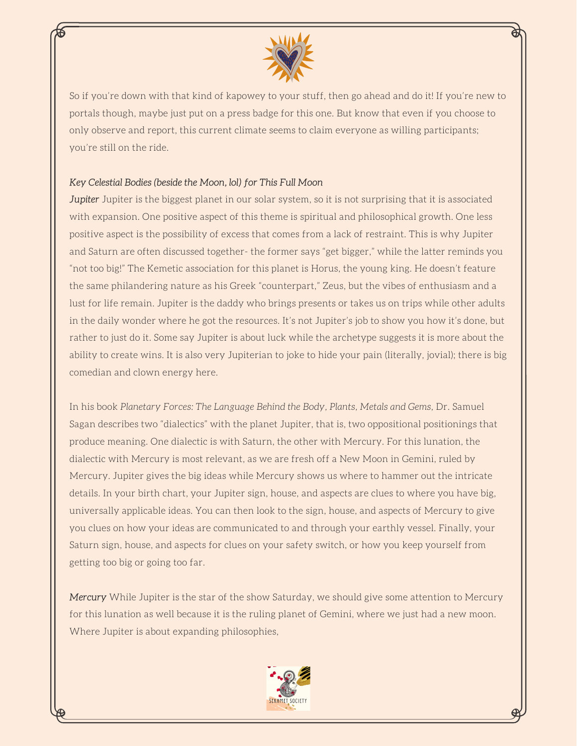

So if you're down with that kind of kapowey to your stuff, then go ahead and do it! If you're new to portals though, maybe just put on a press badge for this one. But know that even if you choose to only observe and report, this current climate seems to claim everyone as willing participants; you're still on the ride.

#### Key Celestial Bodies (beside the Moon, lol) for This Full Moon

Jupiter Jupiter is the biggest planet in our solar system, so it is not surprising that it is associated with expansion. One positive aspect of this theme is spiritual and philosophical growth. One less positive aspect is the possibility of excess that comes from a lack of restraint. This is why Jupiter and Saturn are often discussed together- the former says "get bigger," while the latter reminds you "not too big!" The Kemetic association for this planet is Horus, the young king. He doesn't feature the same philandering nature as his Greek "counterpart," Zeus, but the vibes of enthusiasm and a lust for life remain. Jupiter is the daddy who brings presents or takes us on trips while other adults in the daily wonder where he got the resources. It's not Jupiter's job to show you how it's done, but rather to just do it. Some say Jupiter is about luck while the archetype suggests it is more about the ability to create wins. It is also very Jupiterian to joke to hide your pain (literally, jovial); there is big comedian and clown energy here.

In his book *Planetary Forces: The Language Behind the Body, Plants, Metals and Gems,* Dr. Samuel Sagan describes two "dialectics" with the planet Jupiter, that is, two oppositional positionings that produce meaning. One dialectic is with Saturn, the other with Mercury. For this lunation, the dialectic with Mercury is most relevant, as we are fresh off a New Moon in Gemini, ruled by Mercury. Jupiter gives the big ideas while Mercury shows us where to hammer out the intricate details. In your birth chart, your Jupiter sign, house, and aspects are clues to where you have big, universally applicable ideas. You can then look to the sign, house, and aspects of Mercury to give you clues on how your ideas are communicated to and through your earthly vessel. Finally, your Saturn sign, house, and aspects for clues on your safety switch, or how you keep yourself from getting too big or going too far.

Mercury While Jupiter is the star of the show Saturday, we should give some attention to Mercury for this lunation as well because it is the ruling planet of Gemini, where we just had a new moon. Where Jupiter is about expanding philosophies,

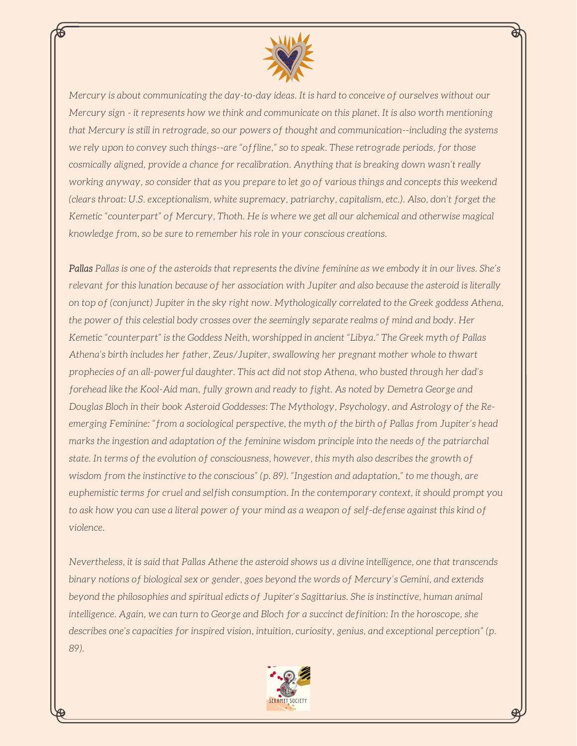

*Mercury is about communicating the day-to-day ideas. It is hard to conceive of ourselves without our* Mercury sign - it represents how we think and communicate on this planet. It is also worth mentioning *that Mercury is still in retrograde, so our powers of thought and communication--including the systems we rely upon to convey such things--are "offline," so to speak. These retrograde periods, for those cosmically aligned, provide a chance for recalibration. Anything that is breaking down wasn't really* working anyway, so consider that as you prepare to let go of various things and concepts this weekend *(clears throat: U.S. exceptionalism, white supremacy, patriarchy, capitalism, etc.). Also, don't forget the Kemetic "counterpart" of Mercury, Thoth. He is where we get all our alchemical and otherwise magical knowledge from, so be sure to remember his role in your conscious creations.*

Pallas Pallas is one of the asteroids that represents the divine feminine as we embody it in our lives. She's relevant for this lunation because of her association with Jupiter and also because the asteroid is literally *on top of (conjunct) Jupiter in the sky right now. Mythologically correlated to the Greek goddess Athena, the power of this celestial body crosses over the seemingly separate realms of mind and body. Her Kemetic "counterpart" is the Goddess Neith, worshipped in ancient "Libya." The Greek myth of Pallas Athena's birth includes her father, Zeus/Jupiter, swallowing her pregnant mother whole to thwart prophecies of an all-powerful daughter. This act did not stop Athena, who busted through her dad's forehead like the Kool-Aid man, fully grown and ready to fight. As noted by Demetra George and Douglas Bloch in their book Asteroid Goddesses: The Mythology, Psychology, and Astrology of the Reemerging Feminine: "from a sociological perspective, the myth of the birth of Pallas from Jupiter's head marks the ingestion and adaptation of the feminine wisdom principle into the needs of the patriarchal state. In terms of the evolution of consciousness, however, this myth also describes the growth of wisdom from the instinctive to the conscious" (p. 89). "Ingestion and adaptation," to me though, are euphemistic terms for cruel and selfish consumption. In the contemporary context, it should prompt you* to ask how you can use a literal power of your mind as a weapon of self-defense against this kind of *violence.*

Nevertheless, it is said that Pallas Athene the asteroid shows us a divine intelligence, one that transcends *binary notions of biological sex or gender, goes beyond the words of Mercury's Gemini, and extends beyond the philosophies and spiritual edicts of Jupiter's Sagittarius. She is instinctive, human animal intelligence. Again, we can turn to George and Bloch for a succinct definition: In the horoscope, she describes one's capacities for inspired vision, intuition, curiosity, genius, and exceptional perception" (p. 89).*

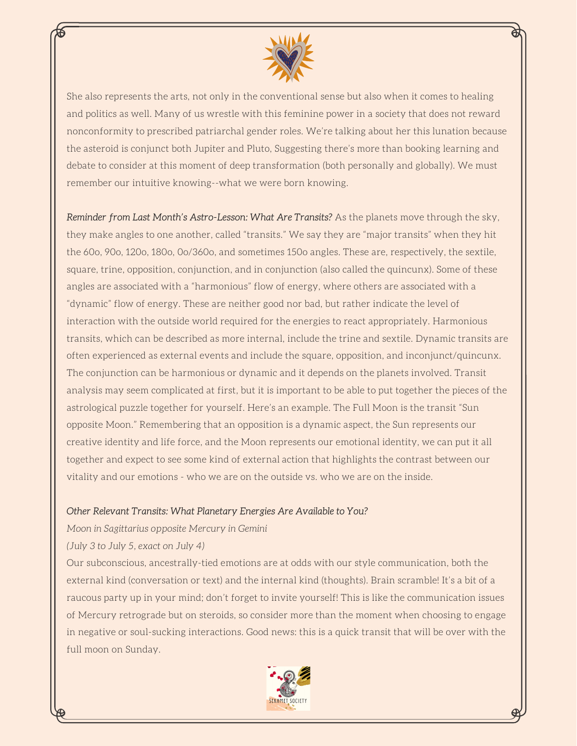

She also represents the arts, not only in the conventional sense but also when it comes to healing and politics as well. Many of us wrestle with this feminine power in a society that does not reward nonconformity to prescribed patriarchal gender roles. We're talking about her this lunation because the asteroid is conjunct both Jupiter and Pluto, Suggesting there's more than booking learning and debate to consider at this moment of deep transformation (both personally and globally). We must remember our intuitive knowing--what we were born knowing.

Reminder from Last Month's Astro-Lesson: What Are Transits? As the planets move through the sky, they make angles to one another, called "transits." We say they are "major transits" when they hit the 60o, 90o, 120o, 180o, 0o/360o, and sometimes 150o angles. These are, respectively, the sextile, square, trine, opposition, conjunction, and in conjunction (also called the quincunx). Some of these angles are associated with a "harmonious" flow of energy, where others are associated with a "dynamic" flow of energy. These are neither good nor bad, but rather indicate the level of interaction with the outside world required for the energies to react appropriately. Harmonious transits, which can be described as more internal, include the trine and sextile. Dynamic transits are often experienced as external events and include the square, opposition, and inconjunct/quincunx. The conjunction can be harmonious or dynamic and it depends on the planets involved. Transit analysis may seem complicated at first, but it is important to be able to put together the pieces of the astrological puzzle together for yourself. Here's an example. The Full Moon is the transit "Sun opposite Moon." Remembering that an opposition is a dynamic aspect, the Sun represents our creative identity and life force, and the Moon represents our emotional identity, we can put it all together and expect to see some kind of external action that highlights the contrast between our vitality and our emotions - who we are on the outside vs. who we are on the inside.

#### Other Relevant Transits: What Planetary Energies Are Available to You?

*Moon in Sagittarius opposite Mercury in Gemini*

*(July 3 to July 5, exact on July 4)*

Our subconscious, ancestrally-tied emotions are at odds with our style communication, both the external kind (conversation or text) and the internal kind (thoughts). Brain scramble! It's a bit of a raucous party up in your mind; don't forget to invite yourself! This is like the communication issues of Mercury retrograde but on steroids, so consider more than the moment when choosing to engage in negative or soul-sucking interactions. Good news: this is a quick transit that will be over with the full moon on Sunday.

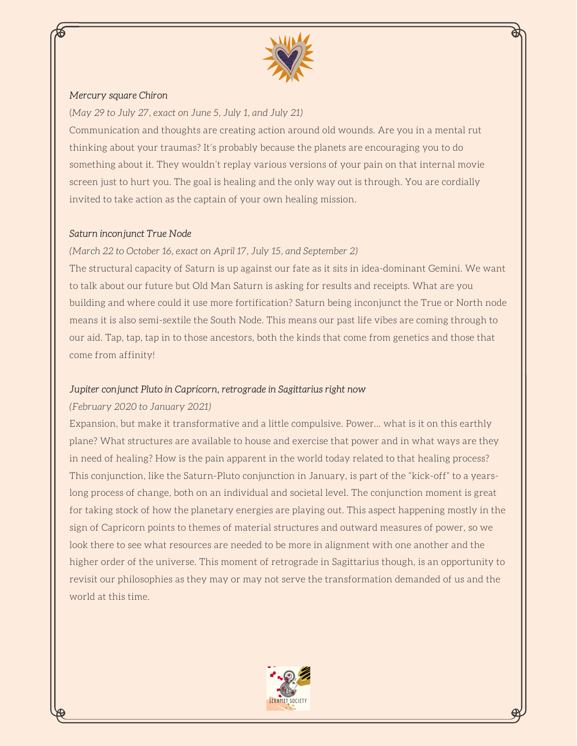

#### Mercury square Chiron

(*May 29 to July 27, exact on June 5, July 1, and July 21)*

Communication and thoughts are creating action around old wounds. Are you in a mental rut thinking about your traumas? It's probably because the planets are encouraging you to do something about it. They wouldn't replay various versions of your pain on that internal movie screen just to hurt you. The goal is healing and the only way out is through. You are cordially invited to take action as the captain of your own healing mission.

#### Saturn inconjunct True Node

### *(March 22 to October 16, exact on April 17, July 15, and September 2)*

The structural capacity of Saturn is up against our fate as it sits in idea-dominant Gemini. We want to talk about our future but Old Man Saturn is asking for results and receipts. What are you building and where could it use more fortification? Saturn being inconjunct the True or North node means it is also semi-sextile the South Node. This means our past life vibes are coming through to our aid. Tap, tap, tap in to those ancestors, both the kinds that come from genetics and those that come from affinity!

#### Jupiter conjunct Pluto in Capricorn, retrograde in Sagittarius right now

#### *(February 2020 to January 2021)*

Expansion, but make it transformative and a little compulsive. Power... what is it on this earthly plane? What structures are available to house and exercise that power and in what ways are they in need of healing? How is the pain apparent in the world today related to that healing process? This conjunction, like the Saturn-Pluto conjunction in January, is part of the "kick-off" to a yearslong process of change, both on an individual and societal level. The conjunction moment is great for taking stock of how the planetary energies are playing out. This aspect happening mostly in the sign of Capricorn points to themes of material structures and outward measures of power, so we look there to see what resources are needed to be more in alignment with one another and the higher order of the universe. This moment of retrograde in Sagittarius though, is an opportunity to revisit our philosophies as they may or may not serve the transformation demanded of us and the world at this time.

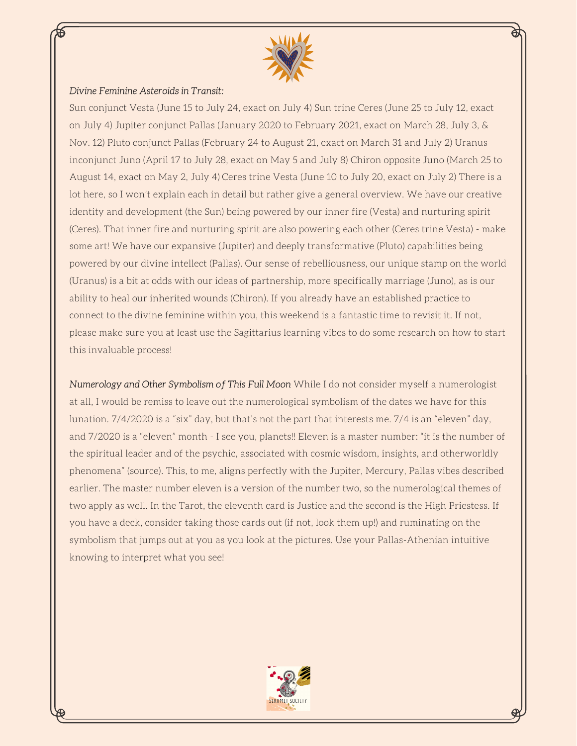

#### Divine Feminine Asteroids in Transit:

Sun conjunct Vesta (June 15 to July 24, exact on July 4) Sun trine Ceres (June 25 to July 12, exact on July 4) Jupiter conjunct Pallas (January 2020 to February 2021, exact on March 28, July 3, & Nov. 12) Pluto conjunct Pallas (February 24 to August 21, exact on March 31 and July 2) Uranus inconjunct Juno (April 17 to July 28, exact on May 5 and July 8) Chiron opposite Juno (March 25 to August 14, exact on May 2, July 4) Ceres trine Vesta (June 10 to July 20, exact on July 2) There is a lot here, so I won't explain each in detail but rather give a general overview. We have our creative identity and development (the Sun) being powered by our inner fire (Vesta) and nurturing spirit (Ceres). That inner fire and nurturing spirit are also powering each other (Ceres trine Vesta) - make some art! We have our expansive (Jupiter) and deeply transformative (Pluto) capabilities being powered by our divine intellect (Pallas). Our sense of rebelliousness, our unique stamp on the world (Uranus) is a bit at odds with our ideas of partnership, more specifically marriage (Juno), as is our ability to heal our inherited wounds (Chiron). If you already have an established practice to connect to the divine feminine within you, this weekend is a fantastic time to revisit it. If not, please make sure you at least use the Sagittarius learning vibes to do some research on how to start this invaluable process!

Numerology and Other Symbolism of This Full Moon While I do not consider myself a numerologist at all, I would be remiss to leave out the numerological symbolism of the dates we have for this lunation. 7/4/2020 is a "six" day, but that's not the part that interests me. 7/4 is an "eleven" day, and 7/2020 is a "eleven" month - I see you, planets!! Eleven is a master number: "it is the number of the spiritual leader and of the psychic, associated with cosmic wisdom, insights, and otherworldly phenomena" (source). This, to me, aligns perfectly with the Jupiter, Mercury, Pallas vibes described earlier. The master number eleven is a version of the number two, so the numerological themes of two apply as well. In the Tarot, the eleventh card is Justice and the second is the High Priestess. If you have a deck, consider taking those cards out (if not, look them up!) and ruminating on the symbolism that jumps out at you as you look at the pictures. Use your Pallas-Athenian intuitive knowing to interpret what you see!